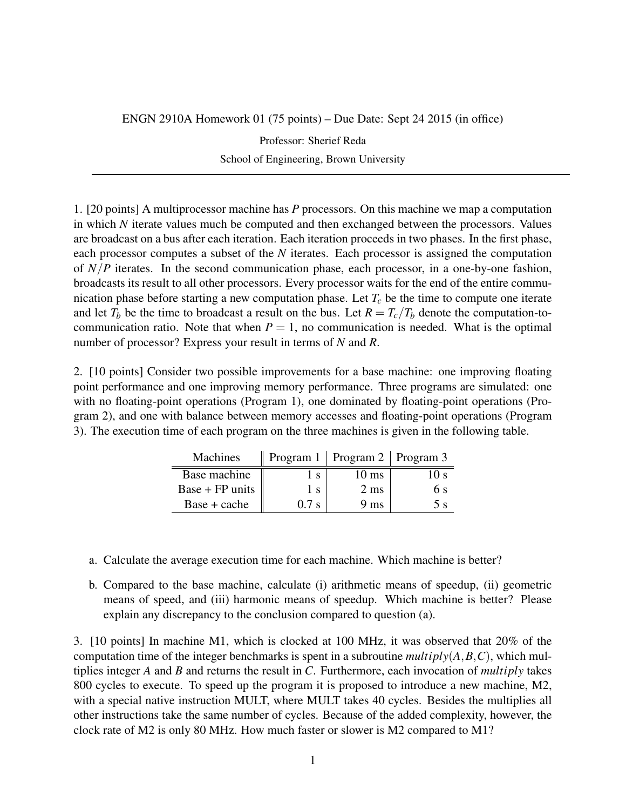## ENGN 2910A Homework 01 (75 points) – Due Date: Sept 24 2015 (in office)

Professor: Sherief Reda School of Engineering, Brown University

1. [20 points] A multiprocessor machine has *P* processors. On this machine we map a computation in which *N* iterate values much be computed and then exchanged between the processors. Values are broadcast on a bus after each iteration. Each iteration proceeds in two phases. In the first phase, each processor computes a subset of the *N* iterates. Each processor is assigned the computation of *N*/*P* iterates. In the second communication phase, each processor, in a one-by-one fashion, broadcasts its result to all other processors. Every processor waits for the end of the entire communication phase before starting a new computation phase. Let  $T_c$  be the time to compute one iterate and let  $T_b$  be the time to broadcast a result on the bus. Let  $R = T_c/T_b$  denote the computation-tocommunication ratio. Note that when  $P = 1$ , no communication is needed. What is the optimal number of processor? Express your result in terms of *N* and *R*.

2. [10 points] Consider two possible improvements for a base machine: one improving floating point performance and one improving memory performance. Three programs are simulated: one with no floating-point operations (Program 1), one dominated by floating-point operations (Program 2), and one with balance between memory accesses and floating-point operations (Program 3). The execution time of each program on the three machines is given in the following table.

| Machines        |                | Program $1 \mid$ Program $2 \mid$ Program 3 |                |
|-----------------|----------------|---------------------------------------------|----------------|
| Base machine    | $S_{\alpha}$   | 10 ms                                       | 0 <sup>s</sup> |
| Base + FP units | $\mathbf{1}$ S | $2 \text{ ms}$                              | 6 s            |
| Base + cache    | $0.7$ s        | 9 ms                                        | 5 с            |

- a. Calculate the average execution time for each machine. Which machine is better?
- b. Compared to the base machine, calculate (i) arithmetic means of speedup, (ii) geometric means of speed, and (iii) harmonic means of speedup. Which machine is better? Please explain any discrepancy to the conclusion compared to question (a).

3. [10 points] In machine M1, which is clocked at 100 MHz, it was observed that 20% of the computation time of the integer benchmarks is spent in a subroutine *multiply*(*A*,*B*,*C*), which multiplies integer *A* and *B* and returns the result in *C*. Furthermore, each invocation of *multiply* takes 800 cycles to execute. To speed up the program it is proposed to introduce a new machine, M2, with a special native instruction MULT, where MULT takes 40 cycles. Besides the multiplies all other instructions take the same number of cycles. Because of the added complexity, however, the clock rate of M2 is only 80 MHz. How much faster or slower is M2 compared to M1?